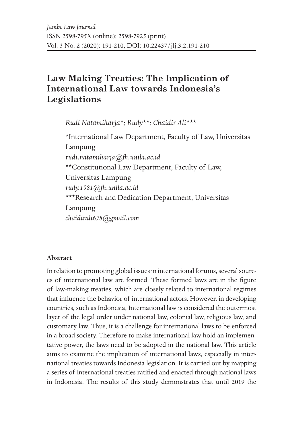# **Law Making Treaties: The Implication of International Law towards Indonesia's Legislations**

*Rudi Natamiharja\*; Rudy\*\*; Chaidir Ali\*\*\**

\*International Law Department, Faculty of Law, Universitas Lampung *rudi.natamiharja@fh.unila.ac.id* \*\*Constitutional Law Department, Faculty of Law, Universitas Lampung *rudy.1981@fh.unila.ac.id* \*\*\*Research and Dedication Department, Universitas Lampung *chaidirali678@gmail.com*

### **Abstract**

In relation to promoting global issues in international forums, several sources of international law are formed. These formed laws are in the figure of law-making treaties, which are closely related to international regimes that influence the behavior of international actors. However, in developing countries, such as Indonesia, International law is considered the outermost layer of the legal order under national law, colonial law, religious law, and customary law. Thus, it is a challenge for international laws to be enforced in a broad society. Therefore to make international law hold an implementative power, the laws need to be adopted in the national law. This article aims to examine the implication of international laws, especially in international treaties towards Indonesia legislation. It is carried out by mapping a series of international treaties ratified and enacted through national laws in Indonesia. The results of this study demonstrates that until 2019 the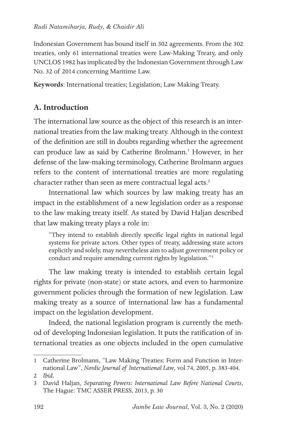Indonesian Government has bound itself in 302 agreements. From the 302 treaties, only 61 international treaties were Law-Making Treaty, and only UNCLOS 1982 has implicated by the Indonesian Government through Law No. 32 of 2014 concerning Maritime Law.

**Keywords**: International treaties; Legislation; Law Making Treaty.

# **A. Introduction**

The international law source as the object of this research is an international treaties from the law making treaty. Although in the context of the definition are still in doubts regarding whether the agreement can produce law as said by Catherine Brolmann.<sup>1</sup> However, in her defense of the law-making terminology, Catherine Brolmann argues refers to the content of international treaties are more regulating character rather than seen as mere contractual legal acts.<sup>2</sup>

International law which sources by law making treaty has an impact in the establishment of a new legislation order as a response to the law making treaty itself. As stated by David Haljan described that law making treaty plays a role in:

"They intend to establish directly specific legal rights in national legal systems for private actors. Other types of treaty, addressing state actors explicitly and solely, may nevertheless aim to adjust government policy or conduct and require amending current rights by legislation."3

The law making treaty is intended to establish certain legal rights for private (non-state) or state actors, and even to harmonize government policies through the formation of new legislation. Law making treaty as a source of international law has a fundamental impact on the legislation development.

Indeed, the national legislation program is currently the method of developing Indonesian legislation. It puts the ratification of international treaties as one objects included in the open cumulative

<sup>1</sup> Catherine Brolmann, "Law Making Treaties: Form and Function in International Law", *Nordic Journal of International Law*, vol 74, 2005, p. 383-404.

<sup>2</sup> *Ibid.*

<sup>3</sup> David Haljan, *Separating Powers: International Law Before National Courts*, The Hague: TMC ASSER PRESS, 2013, p. 30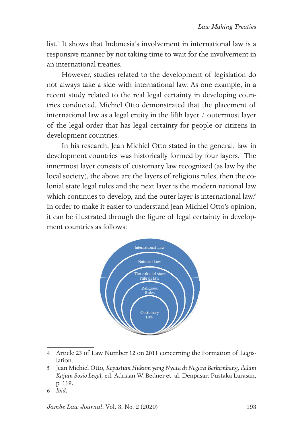list.4 It shows that Indonesia's involvement in international law is a responsive manner by not taking time to wait for the involvement in an international treaties.

However, studies related to the development of legislation do not always take a side with international law. As one example, in a recent study related to the real legal certainty in developing countries conducted, Michiel Otto demonstrated that the placement of international law as a legal entity in the fifth layer / outermost layer of the legal order that has legal certainty for people or citizens in development countries.

In his research, Jean Michiel Otto stated in the general, law in development countries was historically formed by four layers.<sup>5</sup> The innermost layer consists of customary law recognized (as law by the local society), the above are the layers of religious rules, then the colonial state legal rules and the next layer is the modern national law which continues to develop, and the outer layer is international law.<sup>6</sup> In order to make it easier to understand Jean Michiel Otto's opinion, it can be illustrated through the figure of legal certainty in development countries as follows:



<sup>4</sup> Article 23 of Law Number 12 on 2011 concerning the Formation of Legislation.

<sup>5</sup> Jean Michiel Otto, *Kepastian Hukum yang Nyata di Negara Berkembang, dalam Kajian Sosio Legal,* ed. Adriaan W. Bedner et. al. Denpasar: Pustaka Larasan, p. 119.

<sup>6</sup> *Ibid.*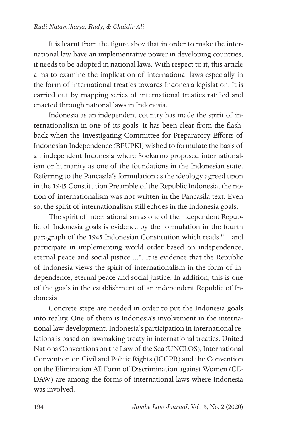#### *Rudi Natamiharja, Rudy, & Chaidir Ali*

It is learnt from the figure abov that in order to make the international law have an implementative power in developing countries, it needs to be adopted in national laws. With respect to it, this article aims to examine the implication of international laws especially in the form of international treaties towards Indonesia legislation. It is carried out by mapping series of international treaties ratified and enacted through national laws in Indonesia.

Indonesia as an independent country has made the spirit of internationalism in one of its goals. It has been clear from the flashback when the Investigating Committee for Preparatory Efforts of Indonesian Independence (BPUPKI) wished to formulate the basis of an independent Indonesia where Soekarno proposed internationalism or humanity as one of the foundations in the Indonesian state. Referring to the Pancasila's formulation as the ideology agreed upon in the 1945 Constitution Preamble of the Republic Indonesia, the notion of internationalism was not written in the Pancasila text. Even so, the spirit of internationalism still echoes in the Indonesia goals.

The spirit of internationalism as one of the independent Republic of Indonesia goals is evidence by the formulation in the fourth paragraph of the 1945 Indonesian Constitution which reads "... and participate in implementing world order based on independence, eternal peace and social justice ...". It is evidence that the Republic of Indonesia views the spirit of internationalism in the form of independence, eternal peace and social justice. In addition, this is one of the goals in the establishment of an independent Republic of Indonesia.

Concrete steps are needed in order to put the Indonesia goals into reality. One of them is Indonesia's involvement in the international law development. Indonesia's participation in international relations is based on lawmaking treaty in international treaties. United Nations Conventions on the Law of the Sea (UNCLOS), International Convention on Civil and Politic Rights (ICCPR) and the Convention on the Elimination All Form of Discrimination against Women (CE-DAW) are among the forms of international laws where Indonesia was involved.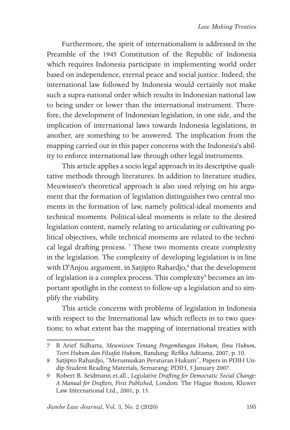Furthermore, the spirit of internationalism is addressed in the Preamble of the 1945 Constitution of the Republic of Indonesia which requires Indonesia participate in implementing world order based on independence, eternal peace and social justice. Indeed, the international law followed by Indonesia would certainly not make such a supra-national order which results in Indonesian national law to being under or lower than the international instrument. Therefore, the development of Indonesian legislation, in one side, and the implication of international laws towards Indonesia legislations, in another, are something to be answered. The implication from the mapping carried out in this paper concerns with the Indonesia's ability to enforce international law through other legal instruments.

This article applies a socio legal approach in its descriptive qualitative methods through literatures. In addition to literature studies, Meuwissen's theoretical approach is also used relying on his argument that the formation of legislation distinguishes two central moments in the formation of law, namely political-ideal moments and technical moments. Political-ideal moments is relate to the desired legislation content, namely relating to articulating or cultivating political objectives, while technical moments are related to the technical legal drafting process.<sup>7</sup> These two moments create complexity in the legislation. The complexity of developing legislation is in line with D'Anjou argument, in Satjipto Rahardjo,<sup>8</sup> that the development of legislation is a complex process. This complexity<sup>9</sup> becomes an important spotlight in the context to follow-up a legislation and to simplify the viability.

This article concerns with problems of legislation in Indonesia with respect to the International law which reflects in to two questions; to what extent has the mapping of international treaties with

<sup>7</sup> B Arief Sidharta, *Meuwissen Tentang Pengembangan Hukum, Ilmu Hukum, Teori Hukum dan Filsafat Hukum*, Bandung: Refika Aditama, 2007, p. 10.

<sup>8</sup> Satjipto Rahardjo, "Merumuskan Peraturan Hukum", Papers in PDIH Undip Student Reading Materials*,* Semarang: PDIH, 5 January 2007.

<sup>9</sup> Robert B. Seidmann et.all., *Legislative Drafting for Democratic Social Change: A Manual for Drafters, First Published,* London: The Hague Boston, Kluwer Law International Ltd., 2001, p. 15.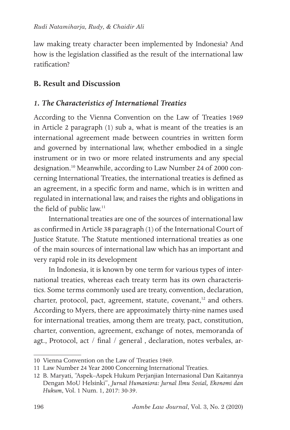law making treaty character been implemented by Indonesia? And how is the legislation classified as the result of the international law ratification?

### **B. Result and Discussion**

### *1. The Characteristics of International Treaties*

According to the Vienna Convention on the Law of Treaties 1969 in Article 2 paragraph (1) sub a, what is meant of the treaties is an international agreement made between countries in written form and governed by international law, whether embodied in a single instrument or in two or more related instruments and any special designation.<sup>10</sup> Meanwhile, according to Law Number 24 of 2000 concerning International Treaties, the international treaties is defined as an agreement, in a specific form and name, which is in written and regulated in international law, and raises the rights and obligations in the field of public law.<sup>11</sup>

International treaties are one of the sources of international law as confirmed in Article 38 paragraph (1) of the International Court of Justice Statute. The Statute mentioned international treaties as one of the main sources of international law which has an important and very rapid role in its development

In Indonesia, it is known by one term for various types of international treaties, whereas each treaty term has its own characteristics. Some terms commonly used are treaty, convention, declaration, charter, protocol, pact, agreement, statute, covenant,<sup>12</sup> and others. According to Myers, there are approximately thirty-nine names used for international treaties, among them are treaty, pact, constitution, charter, convention, agreement, exchange of notes, memoranda of agt., Protocol, act / final / general , declaration, notes verbales, ar-

<sup>10</sup> Vienna Convention on the Law of Treaties 1969.

<sup>11</sup> Law Number 24 Year 2000 Concerning International Treaties.

<sup>12</sup> B. Maryati, "Aspek–Aspek Hukum Perjanjian Internasional Dan Kaitannya Dengan MoU Helsinki", *Jurnal Humaniora: Jurnal Ilmu Sosial, Ekonomi dan Hukum*, Vol. 1 Num. 1, 2017: 30-39.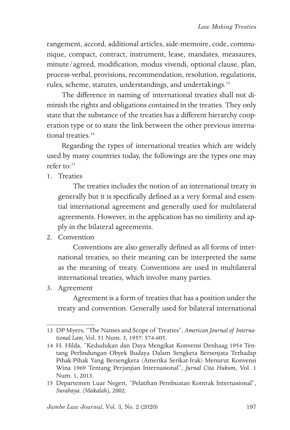rangement, accord, additional articles, aide-memoire, code, communique, compact, contract, instrument, lease, mandates, measaures, minute/agreed, modification, modus vivendi, optional clause, plan, process-verbal, provisions, recommendation, resolution, regulations, rules, scheme, statutes, understandings, and undertakings.<sup>13</sup>

The difference in naming of international treaties shall not diminish the rights and obligations contained in the treaties. They only state that the substance of the treaties has a different hierarchy cooperation type or to state the link between the other previous international treaties.<sup>14</sup>

Regarding the types of international treaties which are widely used by many countries today, the followings are the types one may refer to: $15$ 

1. Treaties

The treaties includes the notion of an international treaty in generally but it is specifically defined as a very formal and essential international agreement and generally used for multilateral agreements. However, in the application has no similirity and apply in the bilateral agreements.

2. Convention

Conventions are also generally defined as all forms of international treaties, so their meaning can be interpreted the same as the meaning of treaty. Conventions are used in multilateral international treaties, which involve many parties.

3. Agreement

Agreement is a form of treaties that has a position under the treaty and convention. Generally used for bilateral international

<sup>13</sup> DP Myers, "The Names and Scope of Treaties", *American Journal of International Law,* Vol. 51 Num. 3, 1957: 574-605.

<sup>14</sup> H. Hilda, "Kedudukan dan Daya Mengikat Konvensi Denhaag 1954 Tentang Perlindungan Obyek Budaya Dalam Sengketa Bersenjata Terhadap Pihak-Pihak Yang Bersengketa (Amerika Serikat-Irak) Menurut Konvensi Wina 1969 Tentang Perjanjian Internasional", *Jurnal Cita Hukum*, Vol. 1 Num. 1, 2013.

<sup>15</sup> Departemen Luar Negeri, "Pelatihan Pembuatan Kontrak Internasional", *Surabaya. (Makalah),* 2002.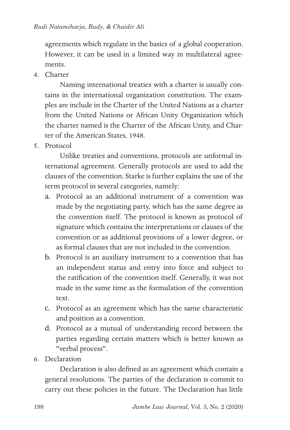agreements which regulate in the basics of a global cooperation. However, it can be used in a limited way in multilateral agreements.

4. Charter

Naming international treaties with a charter is usually contains in the international organization constitution. The examples are include in the Charter of the United Nations as a charter from the United Nations or African Unity Organization which the charter named is the Charter of the African Unity, and Charter of the American States, 1948.

5. Protocol

Unlike treaties and conventions, protocols are unformal international agreement. Generally protocols are used to add the clauses of the convention. Starke is further explains the use of the term protocol in several categories, namely:

- a. Protocol as an additional instrument of a convention was made by the negotiating party, which has the same degree as the convention itself. The protocol is known as protocol of signature which contains the interpretations or clauses of the convention or as additional provisions of a lower degree, or as formal clauses that are not included in the convention.
- b. Protocol is an auxiliary instrument to a convention that has an independent status and entry into force and subject to the ratification of the convention itself. Generally, it was not made in the same time as the formulation of the convention text.
- c. Protocol as an agreement which has the same characteristic and position as a convention.
- d. Protocol as a mutual of understanding record between the parties regarding certain matters which is better known as "verbal process".
- 6. Declaration

Declaration is also defined as an agreement which contain a general resolutions. The parties of the declaration is commit to carry out these policies in the future. The Declaration has little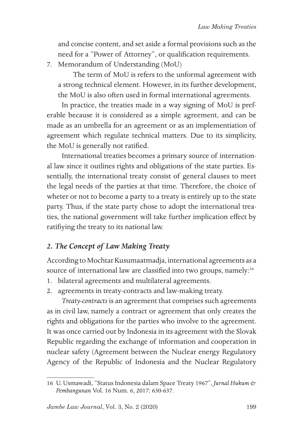and concise content, and set aside a formal provisions such as the need for a "Power of Attorney", or qualification requirements.

7. Memorandum of Understanding (MoU)

The term of MoU is refers to the unformal agreement with a strong technical element. However, in its further development, the MoU is also often used in formal international agreements.

In practice, the treaties made in a way signing of MoU is preferable because it is considered as a simple agreement, and can be made as an umbrella for an agreement or as an implementiation of agreement which regulate technical matters. Due to its simplicity, the MoU is generally not ratified.

International treaties becomes a primary source of international law since it outlines rights and obligations of the state parties. Essentially, the international treaty consist of general clauses to meet the legal needs of the parties at that time. Therefore, the choice of wheter or not to become a party to a treaty is entirely up to the state party. Thus, if the state party chose to adopt the international treaties, the national government will take further implication effect by ratifiying the treaty to its national law.

# *2. The Concept of Law Making Treaty*

According to Mochtar Kusumaatmadja, international agreements as a source of international law are classified into two groups, namely:<sup>16</sup>

- 1. bilateral agreements and multilateral agreements.
- 2. agreements in treaty-contracts and law-making treaty.

*Treaty-contracts* is an agreement that comprises such agreements as in civil law, namely a contract or agreement that only creates the rights and obligations for the parties who involve to the agreement. It was once carried out by Indonesia in its agreement with the Slovak Republic regarding the exchange of information and cooperation in nuclear safety (Agreement between the Nuclear energy Regulatory Agency of the Republic of Indonesia and the Nuclear Regulatory

<sup>16</sup> U. Usmawadi, "Status Indonesia dalam Space Treaty 1967", *Jurnal Hukum & Pembangunan* Vol. 16 Num. 6, 2017: 630-637.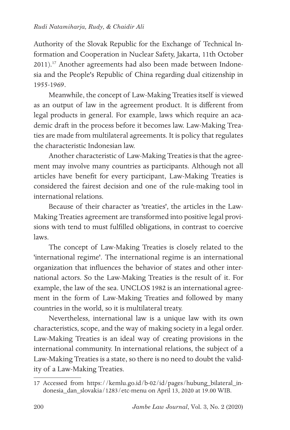Authority of the Slovak Republic for the Exchange of Technical Information and Cooperation in Nuclear Safety, Jakarta, 11th October 2011).<sup>17</sup> Another agreements had also been made between Indonesia and the People's Republic of China regarding dual citizenship in 1955-1969.

Meanwhile, the concept of Law-Making Treaties itself is viewed as an output of law in the agreement product. It is different from legal products in general. For example, laws which require an academic draft in the process before it becomes law. Law-Making Treaties are made from multilateral agreements. It is policy that regulates the characteristic Indonesian law.

Another characteristic of Law-Making Treaties is that the agreement may involve many countries as participants. Although not all articles have benefit for every participant, Law-Making Treaties is considered the fairest decision and one of the rule-making tool in international relations.

Because of their character as 'treaties', the articles in the Law-Making Treaties agreement are transformed into positive legal provisions with tend to must fulfilled obligations, in contrast to coercive laws.

The concept of Law-Making Treaties is closely related to the 'international regime'. The international regime is an international organization that influences the behavior of states and other international actors. So the Law-Making Treaties is the result of it. For example, the law of the sea. UNCLOS 1982 is an international agreement in the form of Law-Making Treaties and followed by many countries in the world, so it is multilateral treaty.

Nevertheless, international law is a unique law with its own characteristics, scope, and the way of making society in a legal order. Law-Making Treaties is an ideal way of creating provisions in the international community. In international relations, the subject of a Law-Making Treaties is a state, so there is no need to doubt the validity of a Law-Making Treaties.

<sup>17</sup> Accessed from https://kemlu.go.id/b-02/id/pages/hubung\_bilateral\_indonesia\_dan\_slovakia/1283/etc-menu on April 13, 2020 at 19.00 WIB.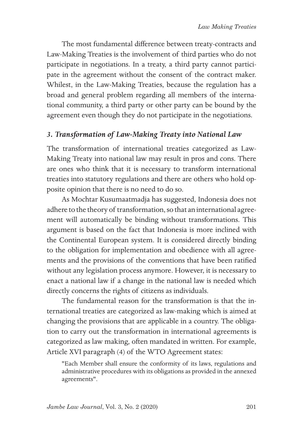The most fundamental difference between treaty-contracts and Law-Making Treaties is the involvement of third parties who do not participate in negotiations. In a treaty, a third party cannot participate in the agreement without the consent of the contract maker. Whilest, in the Law-Making Treaties, because the regulation has a broad and general problem regarding all members of the international community, a third party or other party can be bound by the agreement even though they do not participate in the negotiations.

# *3. Transformation of Law-Making Treaty into National Law*

The transformation of international treaties categorized as Law-Making Treaty into national law may result in pros and cons. There are ones who think that it is necessary to transform international treaties into statutory regulations and there are others who hold opposite opinion that there is no need to do so.

As Mochtar Kusumaatmadja has suggested, Indonesia does not adhere to the theory of transformation, so that an international agreement will automatically be binding without transformations. This argument is based on the fact that Indonesia is more inclined with the Continental European system. It is considered directly binding to the obligation for implementation and obedience with all agreements and the provisions of the conventions that have been ratified without any legislation process anymore. However, it is necessary to enact a national law if a change in the national law is needed which directly concerns the rights of citizens as individuals.

The fundamental reason for the transformation is that the international treaties are categorized as law-making which is aimed at changing the provisions that are applicable in a country. The obligation to carry out the transformation in international agreements is categorized as law making, often mandated in written. For example, Article XVI paragraph (4) of the WTO Agreement states:

"Each Member shall ensure the conformity of its laws, regulations and administrative procedures with its obligations as provided in the annexed agreements".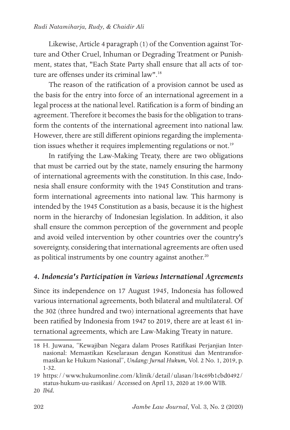#### *Rudi Natamiharja, Rudy, & Chaidir Ali*

Likewise, Article 4 paragraph (1) of the Convention against Torture and Other Cruel, Inhuman or Degrading Treatment or Punishment, states that, "Each State Party shall ensure that all acts of torture are offenses under its criminal law".<sup>18</sup>

The reason of the ratification of a provision cannot be used as the basis for the entry into force of an international agreement in a legal process at the national level. Ratification is a form of binding an agreement. Therefore it becomes the basis for the obligation to transform the contents of the international agreement into national law. However, there are still different opinions regarding the implementation issues whether it requires implementing regulations or not.<sup>19</sup>

In ratifying the Law-Making Treaty, there are two obligations that must be carried out by the state, namely ensuring the harmony of international agreements with the constitution. In this case, Indonesia shall ensure conformity with the 1945 Constitution and transform international agreements into national law. This harmony is intended by the 1945 Constitution as a basis, because it is the highest norm in the hierarchy of Indonesian legislation. In addition, it also shall ensure the common perception of the government and people and avoid veiled intervention by other countries over the country's sovereignty, considering that international agreements are often used as political instruments by one country against another.<sup>20</sup>

### *4. Indonesia's Participation in Various International Agreements*

Since its independence on 17 August 1945, Indonesia has followed various international agreements, both bilateral and multilateral. Of the 302 (three hundred and two) international agreements that have been ratified by Indonesia from 1947 to 2019, there are at least 61 international agreements, which are Law-Making Treaty in nature.

<sup>18</sup> H. Juwana, "Kewajiban Negara dalam Proses Ratifikasi Perjanjian Internasional: Memastikan Keselarasan dengan Konstitusi dan Mentransformasikan ke Hukum Nasional", *Undang: Jurnal Hukum,* Vol. 2 No. 1, 2019, p. 1-32.

<sup>19</sup> https://www.hukumonline.com/klinik/detail/ulasan/lt4c69b1cbd0492/ status-hukum-uu-rasiikasi/ Accessed on April 13, 2020 at 19.00 WIB.

<sup>20</sup> *Ibid.*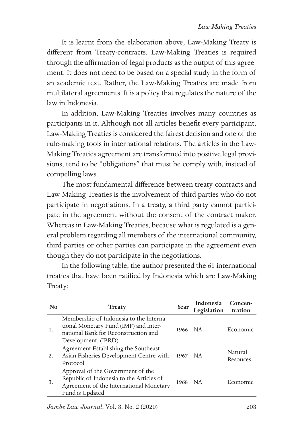It is learnt from the elaboration above, Law-Making Treaty is different from Treaty-contracts. Law-Making Treaties is required through the affirmation of legal products as the output of this agreement. It does not need to be based on a special study in the form of an academic text. Rather, the Law-Making Treaties are made from multilateral agreements. It is a policy that regulates the nature of the law in Indonesia.

In addition, Law-Making Treaties involves many countries as participants in it. Although not all articles benefit every participant, Law-Making Treaties is considered the fairest decision and one of the rule-making tools in international relations. The articles in the Law-Making Treaties agreement are transformed into positive legal provisions, tend to be "obligations" that must be comply with, instead of compelling laws.

The most fundamental difference between treaty-contracts and Law-Making Treaties is the involvement of third parties who do not participate in negotiations. In a treaty, a third party cannot participate in the agreement without the consent of the contract maker. Whereas in Law-Making Treaties, because what is regulated is a general problem regarding all members of the international community, third parties or other parties can participate in the agreement even though they do not participate in the negotiations.

In the following table, the author presented the 61 international treaties that have been ratified by Indonesia which are Law-Making Treaty:

| N <sub>0</sub> | <b>Treaty</b>                                                                                                                                   | Year    | Indonesia<br>Legislation | Concen-<br>tration  |
|----------------|-------------------------------------------------------------------------------------------------------------------------------------------------|---------|--------------------------|---------------------|
| 1.             | Membership of Indonesia to the Interna-<br>tional Monetary Fund (IMF) and Inter-<br>national Bank for Reconstruction and<br>Development, (IBRD) | 1966 NA |                          | Economic            |
| 2.             | Agreement Establishing the Southeast<br>Asian Fisheries Development Centre with<br>Protocol                                                     | 1967    | - NA                     | Natural<br>Resouces |
| 3.             | Approval of the Government of the<br>Republic of Indonesia to the Articles of<br>Agreement of the International Monetary<br>Fund is Updated     | 1968    | <b>NA</b>                | Economic            |

*Jambe Law Journal*, Vol. 3, No. 2 (2020)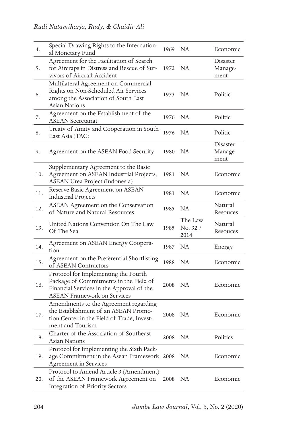| 4.  | Special Drawing Rights to the Internation-<br>al Monetary Fund                                                                                                    | 1969    | NA                          | Economic                    |
|-----|-------------------------------------------------------------------------------------------------------------------------------------------------------------------|---------|-----------------------------|-----------------------------|
| 5.  | Agreement for the Facilitation of Search<br>for Aircraps in Distress and Rescue of Sur-<br>vivors of Aircraft Accident                                            | 1972    | NA                          | Disaster<br>Manage-<br>ment |
| 6.  | Multilateral Agreement on Commercial<br>Rights on Non-Scheduled Air Services<br>among the Association of South East<br>Asian Nations                              | 1973 NA |                             | Politic                     |
| 7.  | Agreement on the Establishment of the<br><b>ASEAN Secretariat</b>                                                                                                 | 1976    | <b>NA</b>                   | Politic                     |
| 8.  | Treaty of Amity and Cooperation in South<br>East Asia (TAC)                                                                                                       | 1976    | NA                          | Politic                     |
| 9.  | Agreement on the ASEAN Food Security                                                                                                                              | 1980    | NA.                         | Disaster<br>Manage-<br>ment |
| 10. | Supplementary Agreement to the Basic<br>Agreement on ASEAN Industrial Projects,<br>ASEAN Urea Project (Indonesia)                                                 | 1981    | NA.                         | Economic                    |
| 11. | Reserve Basic Agreement on ASEAN<br>Industrial Projects                                                                                                           | 1981    | NA                          | Economic                    |
| 12. | ASEAN Agreement on the Conservation<br>of Nature and Natural Resources                                                                                            | 1985    | NA                          | Natural<br>Resouces         |
|     |                                                                                                                                                                   |         |                             |                             |
| 13. | United Nations Convention On The Law<br>Of The Sea                                                                                                                | 1985    | The Law<br>No. 32 /<br>2014 | Natural<br>Resouces         |
| 14. | Agreement on ASEAN Energy Coopera-<br>tion                                                                                                                        | 1987    | NA                          | Energy                      |
| 15. | Agreement on the Preferential Shortlisting<br>of ASEAN Contractors                                                                                                | 1988    | NA                          | Economic                    |
| 16. | Protocol for Implementing the Fourth<br>Package of Commitments in the Field of<br>Financial Services in the Approval of the<br><b>ASEAN Framework on Services</b> | 2008 NA |                             | Economic                    |
| 17. | Amendments to the Agreement regarding<br>the Establishment of an ASEAN Promo-<br>tion Center in the Field of Trade, Invest-<br>ment and Tourism                   | 2008 NA |                             | Economic                    |
| 18. | Charter of the Association of Southeast<br>Asian Nations                                                                                                          | 2008    | NA                          | Politics                    |
| 19. | Protocol for Implementing the Sixth Pack-<br>age Commitment in the Asean Framework 2008<br><b>Agreement</b> in Services                                           |         | NA.                         | Economic                    |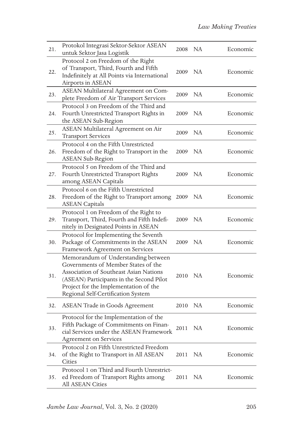| 21. | Protokol Integrasi Sektor-Sektor ASEAN<br>untuk Sektor Jasa Logistik                                                                                                                                                                            | 2008 NA |     | Economic |
|-----|-------------------------------------------------------------------------------------------------------------------------------------------------------------------------------------------------------------------------------------------------|---------|-----|----------|
| 22. | Protocol 2 on Freedom of the Right<br>of Transport, Third, Fourth and Fifth<br>Indefinitely at All Points via International<br>Airports in ASEAN                                                                                                | 2009    | NA  | Economic |
| 23. | ASEAN Multilateral Agreement on Com-<br>plete Freedom of Air Transport Services                                                                                                                                                                 | 2009    | NA  | Economic |
| 24. | Protocol 3 on Freedom of the Third and<br>Fourth Unrestricted Transport Rights in<br>the ASEAN Sub-Region                                                                                                                                       | 2009    | NA  | Economic |
| 25. | ASEAN Multilateral Agreement on Air<br><b>Transport Services</b>                                                                                                                                                                                | 2009    | NA. | Economic |
| 26. | Protocol 4 on the Fifth Unrestricted<br>Freedom of the Right to Transport in the<br><b>ASEAN Sub-Region</b>                                                                                                                                     | 2009    | NA. | Economic |
| 27. | Protocol 5 on Freedom of the Third and<br>Fourth Unrestricted Transport Rights<br>among ASEAN Capitals                                                                                                                                          | 2009    | NA  | Economic |
| 28. | Protocol 6 on the Fifth Unrestricted<br>Freedom of the Right to Transport among<br><b>ASEAN Capitals</b>                                                                                                                                        | 2009    | NA  | Economic |
| 29. | Protocol 1 on Freedom of the Right to<br>Transport, Third, Fourth and Fifth Indefi-<br>nitely in Designated Points in ASEAN                                                                                                                     | 2009    | NA  | Economic |
| 30. | Protocol for Implementing the Seventh<br>Package of Commitments in the ASEAN<br>Framework Agreement on Services                                                                                                                                 | 2009    | NA  | Economic |
| 31. | Memorandum of Understanding between<br>Governments of Member States of the<br>Association of Southeast Asian Nations<br>(ASEAN) Participants in the Second Pilot<br>Project for the Implementation of the<br>Regional Self-Certification System | 2010 NA |     | Economic |
| 32. | <b>ASEAN Trade in Goods Agreement</b>                                                                                                                                                                                                           | 2010    | NA  | Economic |
| 33. | Protocol for the Implementation of the<br>Fifth Package of Commitments on Finan-<br>cial Services under the ASEAN Framework<br><b>Agreement on Services</b>                                                                                     | 2011    | NA  | Economic |
| 34. | Protocol 2 on Fifth Unrestricted Freedom<br>of the Right to Transport in All ASEAN<br>Cities                                                                                                                                                    | 2011    | NA  | Economic |
| 35. | Protocol 1 on Third and Fourth Unrestrict-<br>ed Freedom of Transport Rights among<br>All ASEAN Cities                                                                                                                                          | 2011    | NA. | Economic |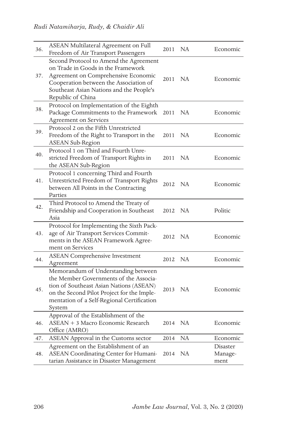| 36. | ASEAN Multilateral Agreement on Full<br>Freedom of Air Transport Passengers                                                                                                                                                    | 2011    | <b>NA</b> | Economic                    |
|-----|--------------------------------------------------------------------------------------------------------------------------------------------------------------------------------------------------------------------------------|---------|-----------|-----------------------------|
| 37. | Second Protocol to Amend the Agreement<br>on Trade in Goods in the Framework<br>Agreement on Comprehensive Economic<br>Cooperation between the Association of<br>Southeast Asian Nations and the People's<br>Republic of China | 2011 NA |           | Economic                    |
| 38. | Protocol on Implementation of the Eighth<br>Package Commitments to the Framework<br><b>Agreement on Services</b>                                                                                                               | 2011    | NA        | Economic                    |
| 39. | Protocol 2 on the Fifth Unrestricted<br>Freedom of the Right to Transport in the<br><b>ASEAN Sub-Region</b>                                                                                                                    | 2011    | NA        | Economic                    |
| 40. | Protocol 1 on Third and Fourth Unre-<br>stricted Freedom of Transport Rights in<br>the ASEAN Sub-Region                                                                                                                        | 2011    | NA        | Economic                    |
| 41. | Protocol 1 concerning Third and Fourth<br>Unrestricted Freedom of Transport Rights<br>between All Points in the Contracting<br>Parties                                                                                         | 2012    | NA        | Economic                    |
| 42. | Third Protocol to Amend the Treaty of<br>Friendship and Cooperation in Southeast<br>Asia                                                                                                                                       | 2012    | NA        | Politic                     |
| 43. | Protocol for Implementing the Sixth Pack-<br>age of Air Transport Services Commit-<br>ments in the ASEAN Framework Agree-<br>ment on Services                                                                                  | 2012    | NA        | Economic                    |
| 44. | <b>ASEAN Comprehensive Investment</b><br>Agreement                                                                                                                                                                             | 2012    | <b>NA</b> | Economic                    |
| 45. | Memorandum of Understanding between<br>the Member Governments of the Associa-<br>tion of Southeast Asian Nations (ASEAN)<br>on the Second Pilot Project for the Imple-<br>mentation of a Self-Regional Certification<br>System | 2013    | NA        | Economic                    |
| 46. | Approval of the Establishment of the<br>ASEAN + 3 Macro Economic Research<br>Office (AMRO)                                                                                                                                     | 2014    | NA        | Economic                    |
| 47. | ASEAN Approval in the Customs sector                                                                                                                                                                                           | 2014    | NA        | Economic                    |
| 48. | Agreement on the Establishment of an<br>ASEAN Coordinating Center for Humani-<br>tarian Assistance in Disaster Management                                                                                                      | 2014    | NA        | Disaster<br>Manage-<br>ment |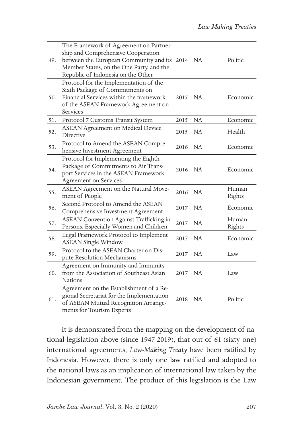| 49. | The Framework of Agreement on Partner-<br>ship and Comprehensive Cooperation<br>between the European Community and its 2014<br>Member States, on the One Party, and the<br>Republic of Indonesia on the Other |         | NA.       | Politic         |
|-----|---------------------------------------------------------------------------------------------------------------------------------------------------------------------------------------------------------------|---------|-----------|-----------------|
| 50. | Protocol for the Implementation of the<br>Sixth Package of Commitments on<br>Financial Services within the framework<br>of the ASEAN Framework Agreement on<br>Services                                       | 2015    | NA.       | Economic        |
| 51. | Protocol 7 Customs Transit System                                                                                                                                                                             | 2015    | <b>NA</b> | Economic        |
| 52. | <b>ASEAN Agreement on Medical Device</b><br>Directive                                                                                                                                                         | 2015    | NA        | Health          |
| 53. | Protocol to Amend the ASEAN Compre-<br>hensive Investment Agreement                                                                                                                                           | 2016    | NA        | Economic        |
| 54. | Protocol for Implementing the Eighth<br>Package of Commitments to Air Trans-<br>port Services in the ASEAN Framework<br><b>Agreement on Services</b>                                                          | 2016 NA |           | Economic        |
| 55. | ASEAN Agreement on the Natural Move-<br>ment of People                                                                                                                                                        | 2016    | NA        | Human<br>Rights |
| 56. | Second Protocol to Amend the ASEAN<br>Comprehensive Investment Agreement                                                                                                                                      | 2017    | <b>NA</b> | Economic        |
| 57. | ASEAN Convention Against Trafficking in<br>Persons, Especially Women and Children                                                                                                                             | 2017    | NA        | Human<br>Rights |
| 58. | Legal Framework Protocol to Implement<br><b>ASEAN Single Window</b>                                                                                                                                           | 2017    | <b>NA</b> | Economic        |
| 59. | Protocol to the ASEAN Charter on Dis-<br>pute Resolution Mechanisms                                                                                                                                           | 2017    | NA        | Law             |
| 60. | Agreement on Immunity and Immunity<br>from the Association of Southeast Asian<br>Nations                                                                                                                      | 2017    | NA        | Law             |
| 61. | Agreement on the Establishment of a Re-<br>gional Secretariat for the Implementation<br>of ASEAN Mutual Recognition Arrange-<br>ments for Tourism Experts                                                     | 2018    | NA        | Politic         |

It is demonsrated from the mapping on the development of national legislation above (since 1947-2019), that out of 61 (sixty one) international agreements, *Law-Making Treaty* have been ratified by Indonesia. However, there is only one law ratified and adopted to the national laws as an implication of international law taken by the Indonesian government. The product of this legislation is the Law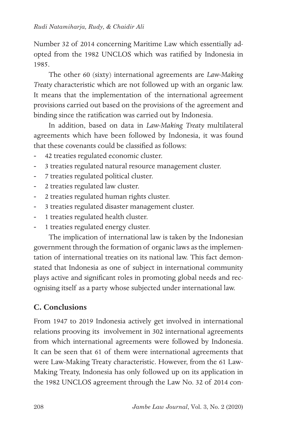Number 32 of 2014 concerning Maritime Law which essentially adopted from the 1982 UNCLOS which was ratified by Indonesia in 1985.

The other 60 (sixty) international agreements are *Law-Making Treaty* characteristic which are not followed up with an organic law. It means that the implementation of the international agreement provisions carried out based on the provisions of the agreement and binding since the ratification was carried out by Indonesia.

In addition, based on data in *Law-Making Treaty* multilateral agreements which have been followed by Indonesia, it was found that these covenants could be classified as follows:

- 42 treaties regulated economic cluster.
- 3 treaties regulated natural resource management cluster.
- 7 treaties regulated political cluster.
- 2 treaties regulated law cluster.
- 2 treaties regulated human rights cluster.
- 3 treaties regulated disaster management cluster.
- 1 treaties regulated health cluster.
- 1 treaties regulated energy cluster.

The implication of international law is taken by the Indonesian government through the formation of organic laws as the implementation of international treaties on its national law. This fact demonstated that Indonesia as one of subject in international community plays active and significant roles in promoting global needs and recognising itself as a party whose subjected under international law.

# **C. Conclusions**

From 1947 to 2019 Indonesia actively get involved in international relations prooving its involvement in 302 international agreements from which international agreements were followed by Indonesia. It can be seen that 61 of them were international agreements that were Law-Making Treaty characteristic. However, from the 61 Law-Making Treaty, Indonesia has only followed up on its application in the 1982 UNCLOS agreement through the Law No. 32 of 2014 con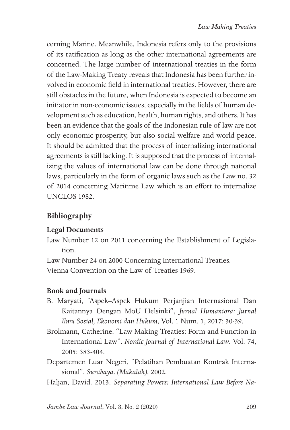cerning Marine. Meanwhile, Indonesia refers only to the provisions of its ratification as long as the other international agreements are concerned. The large number of international treaties in the form of the Law-Making Treaty reveals that Indonesia has been further involved in economic field in international treaties. However, there are still obstacles in the future, when Indonesia is expected to become an initiator in non-economic issues, especially in the fields of human development such as education, health, human rights, and others. It has been an evidence that the goals of the Indonesian rule of law are not only economic prosperity, but also social welfare and world peace. It should be admitted that the process of internalizing international agreements is still lacking. It is supposed that the process of internalizing the values of international law can be done through national laws, particularly in the form of organic laws such as the Law no. 32 of 2014 concerning Maritime Law which is an effort to internalize UNCLOS 1982.

# **Bibliography**

## **Legal Documents**

- Law Number 12 on 2011 concerning the Establishment of Legislation.
- Law Number 24 on 2000 Concerning International Treaties.

Vienna Convention on the Law of Treaties 1969.

### **Book and Journals**

- B. Maryati, "Aspek–Aspek Hukum Perjanjian Internasional Dan Kaitannya Dengan MoU Helsinki", *Jurnal Humaniora: Jurnal Ilmu Sosial, Ekonomi dan Hukum*, Vol. 1 Num. 1, 2017: 30-39.
- Brolmann, Catherine. "Law Making Treaties: Form and Function in International Law". *Nordic Journal of International Law*. Vol. 74, 2005: 383-404.
- Departemen Luar Negeri, "Pelatihan Pembuatan Kontrak Internasional", *Surabaya. (Makalah),* 2002.
- Haljan, David. 2013. *Separating Powers: International Law Before Na-*